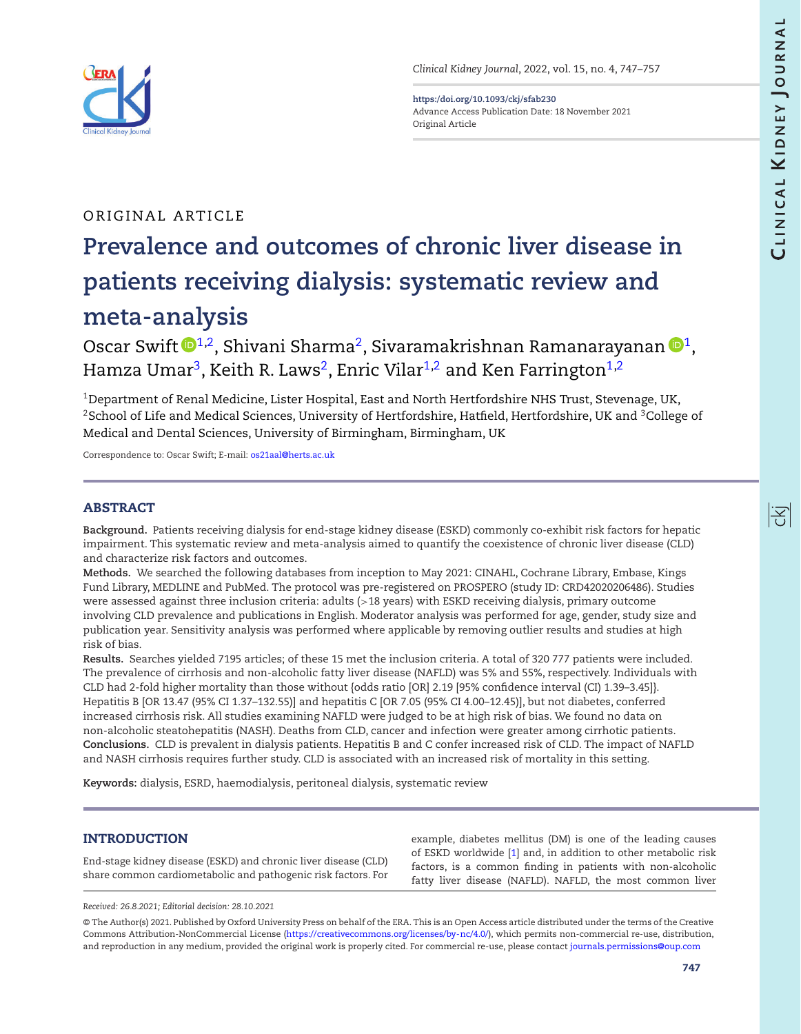<span id="page-0-2"></span>阁



*Clinical Kidney Journal*, 2022, vol. 15, no. 4, 747–757

**<https:/doi.org/10.1093/ckj/sfab230>** Advance Access Publication Date: 18 November 2021 Original Article

# ORIGINAL ARTICLE

# **Prevalence and outcomes of chronic liver disease in patients receiving dialysis: systematic review and meta-analysis**

Oscar Swift  $\mathbf{D}^{1,2}$  $\mathbf{D}^{1,2}$  $\mathbf{D}^{1,2}$ , Shivani Sharma<sup>2</sup>, Sivaramakrishnan Ramanarayanan  $\mathbf{D}^1$ , Hamza Umar<sup>3</sup>, Keith R. Laws<sup>2</sup>, Enric Vilar<sup>1[,2](#page-0-1)</sup> and Ken Farrington<sup>1,2</sup>

<span id="page-0-1"></span><span id="page-0-0"></span> $1$ Department of Renal Medicine, Lister Hospital, East and North Hertfordshire NHS Trust, Stevenage, UK, <sup>2</sup>School of Life and Medical Sciences, University of Hertfordshire, Hatfield, Hertfordshire, UK and <sup>3</sup>College of Medical and Dental Sciences, University of Birmingham, Birmingham, UK

Correspondence to: Oscar Swift; E-mail: [os21aal@herts.ac.uk](mailto:os21aal@herts.ac.uk)

# **ABSTRACT**

**Background.** Patients receiving dialysis for end-stage kidney disease (ESKD) commonly co-exhibit risk factors for hepatic impairment. This systematic review and meta-analysis aimed to quantify the coexistence of chronic liver disease (CLD) and characterize risk factors and outcomes.

**Methods.** We searched the following databases from inception to May 2021: CINAHL, Cochrane Library, Embase, Kings Fund Library, MEDLINE and PubMed. The protocol was pre-registered on PROSPERO (study ID: CRD42020206486). Studies were assessed against three inclusion criteria: adults (>18 years) with ESKD receiving dialysis, primary outcome involving CLD prevalence and publications in English. Moderator analysis was performed for age, gender, study size and publication year. Sensitivity analysis was performed where applicable by removing outlier results and studies at high risk of bias.

**Results.** Searches yielded 7195 articles; of these 15 met the inclusion criteria. A total of 320 777 patients were included. The prevalence of cirrhosis and non-alcoholic fatty liver disease (NAFLD) was 5% and 55%, respectively. Individuals with CLD had 2-fold higher mortality than those without {odds ratio [OR] 2.19 [95% confidence interval (CI) 1.39–3.45]}. Hepatitis B [OR 13.47 (95% CI 1.37–132.55)] and hepatitis C [OR 7.05 (95% CI 4.00–12.45)], but not diabetes, conferred increased cirrhosis risk. All studies examining NAFLD were judged to be at high risk of bias. We found no data on non-alcoholic steatohepatitis (NASH). Deaths from CLD, cancer and infection were greater among cirrhotic patients. **Conclusions.** CLD is prevalent in dialysis patients. Hepatitis B and C confer increased risk of CLD. The impact of NAFLD and NASH cirrhosis requires further study. CLD is associated with an increased risk of mortality in this setting.

**Keywords:** dialysis, ESRD, haemodialysis, peritoneal dialysis, systematic review

# **INTRODUCTION**

End-stage kidney disease (ESKD) and chronic liver disease (CLD) share common cardiometabolic and pathogenic risk factors. For

example, diabetes mellitus (DM) is one of the leading causes of ESKD worldwide [\[1\]](#page-9-0) and, in addition to other metabolic risk factors, is a common finding in patients with non-alcoholic fatty liver disease (NAFLD). NAFLD, the most common liver

*Received: 26.8.2021; Editorial decision: 28.10.2021*

<sup>©</sup> The Author(s) 2021. Published by Oxford University Press on behalf of the ERA. This is an Open Access article distributed under the terms of the Creative Commons Attribution-NonCommercial License [\(https://creativecommons.org/licenses/by-nc/4.0/\)](https://creativecommons.org/licenses/by-nc/4.0/), which permits non-commercial re-use, distribution, and reproduction in any medium, provided the original work is properly cited. For commercial re-use, please contact [journals.permissions@oup.com](mailto:journals.permissions@oup.com)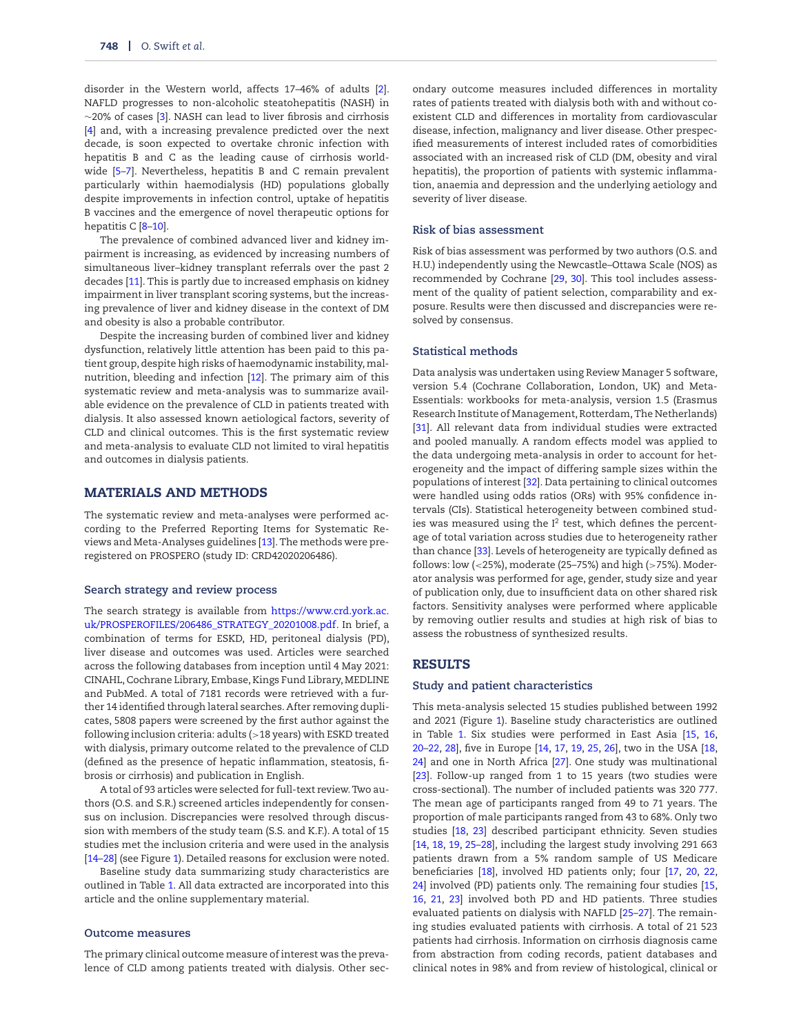disorder in the Western world, affects 17–46% of adults [\[2\]](#page-9-1). NAFLD progresses to non-alcoholic steatohepatitis (NASH) in ∼20% of cases [\[3\]](#page-9-2). NASH can lead to liver fibrosis and cirrhosis [\[4\]](#page-9-3) and, with a increasing prevalence predicted over the next decade, is soon expected to overtake chronic infection with hepatitis B and C as the leading cause of cirrhosis worldwide [\[5–](#page-9-4)[7\]](#page-9-5). Nevertheless, hepatitis B and C remain prevalent particularly within haemodialysis (HD) populations globally despite improvements in infection control, uptake of hepatitis B vaccines and the emergence of novel therapeutic options for hepatitis C [8-[10\]](#page-9-7).

The prevalence of combined advanced liver and kidney impairment is increasing, as evidenced by increasing numbers of simultaneous liver–kidney transplant referrals over the past 2 decades [\[11\]](#page-9-8). This is partly due to increased emphasis on kidney impairment in liver transplant scoring systems, but the increasing prevalence of liver and kidney disease in the context of DM and obesity is also a probable contributor.

Despite the increasing burden of combined liver and kidney dysfunction, relatively little attention has been paid to this patient group, despite high risks of haemodynamic instability,malnutrition, bleeding and infection [\[12\]](#page-9-9). The primary aim of this systematic review and meta-analysis was to summarize available evidence on the prevalence of CLD in patients treated with dialysis. It also assessed known aetiological factors, severity of CLD and clinical outcomes. This is the first systematic review and meta-analysis to evaluate CLD not limited to viral hepatitis and outcomes in dialysis patients.

#### **MATERIALS AND METHODS**

The systematic review and meta-analyses were performed according to the Preferred Reporting Items for Systematic Reviews and Meta-Analyses guidelines [\[13\]](#page-10-0). The methods were preregistered on PROSPERO (study ID: CRD42020206486).

#### **Search strategy and review process**

The search strategy is available from https://www.crd.york.ac. [uk/PROSPEROFILES/206486\\_STRATEGY\\_20201008.pdf. In brief, a](https://www.crd.york.ac.uk/PROSPEROFILES/206486_STRATEGY_20201008.pdf) combination of terms for ESKD, HD, peritoneal dialysis (PD), liver disease and outcomes was used. Articles were searched across the following databases from inception until 4 May 2021: CINAHL, Cochrane Library, Embase, Kings Fund Library, MEDLINE and PubMed. A total of 7181 records were retrieved with a further 14 identified through lateral searches. After removing duplicates, 5808 papers were screened by the first author against the following inclusion criteria: adults (>18 years) with ESKD treated with dialysis, primary outcome related to the prevalence of CLD (defined as the presence of hepatic inflammation, steatosis, fibrosis or cirrhosis) and publication in English.

A total of 93 articles were selected for full-text review. Two authors (O.S. and S.R.) screened articles independently for consensus on inclusion. Discrepancies were resolved through discussion with members of the study team (S.S. and K.F.). A total of 15 studies met the inclusion criteria and were used in the analysis [\[14](#page-10-1)[–28\]](#page-10-2) (see Figure [1\)](#page-2-0). Detailed reasons for exclusion were noted.

Baseline study data summarizing study characteristics are outlined in Table [1.](#page-3-0) All data extracted are incorporated into this article and the online supplementary material.

#### **Outcome measures**

The primary clinical outcome measure of interest was the prevalence of CLD among patients treated with dialysis. Other secondary outcome measures included differences in mortality rates of patients treated with dialysis both with and without coexistent CLD and differences in mortality from cardiovascular disease, infection, malignancy and liver disease. Other prespecified measurements of interest included rates of comorbidities associated with an increased risk of CLD (DM, obesity and viral hepatitis), the proportion of patients with systemic inflammation, anaemia and depression and the underlying aetiology and severity of liver disease.

#### **Risk of bias assessment**

Risk of bias assessment was performed by two authors (O.S. and H.U.) independently using the Newcastle–Ottawa Scale (NOS) as recommended by Cochrane [\[29,](#page-10-3) [30\]](#page-10-4). This tool includes assessment of the quality of patient selection, comparability and exposure. Results were then discussed and discrepancies were resolved by consensus.

#### **Statistical methods**

Data analysis was undertaken using Review Manager 5 software, version 5.4 (Cochrane Collaboration, London, UK) and Meta-Essentials: workbooks for meta-analysis, version 1.5 (Erasmus Research Institute of Management, Rotterdam, The Netherlands) [\[31\]](#page-10-5). All relevant data from individual studies were extracted and pooled manually. A random effects model was applied to the data undergoing meta-analysis in order to account for heterogeneity and the impact of differing sample sizes within the populations of interest [\[32\]](#page-10-6). Data pertaining to clinical outcomes were handled using odds ratios (ORs) with 95% confidence intervals (CIs). Statistical heterogeneity between combined studies was measured using the  $I^2$  test, which defines the percentage of total variation across studies due to heterogeneity rather than chance [\[33\]](#page-10-7). Levels of heterogeneity are typically defined as follows: low (<25%), moderate (25–75%) and high (>75%). Moderator analysis was performed for age, gender, study size and year of publication only, due to insufficient data on other shared risk factors. Sensitivity analyses were performed where applicable by removing outlier results and studies at high risk of bias to assess the robustness of synthesized results.

## **RESULTS**

#### **Study and patient characteristics**

This meta-analysis selected 15 studies published between 1992 and 2021 (Figure [1\)](#page-2-0). Baseline study characteristics are outlined in Table [1.](#page-3-0) Six studies were performed in East Asia [\[15,](#page-10-8) [16,](#page-10-9) [20–](#page-10-10)[22,](#page-10-11) [28\]](#page-10-2), five in Europe [\[14,](#page-10-1) [17,](#page-10-12) [19,](#page-10-13) [25,](#page-10-14) [26\]](#page-10-15), two in the USA [\[18,](#page-10-16) [24\]](#page-10-17) and one in North Africa [\[27\]](#page-10-18). One study was multinational [\[23\]](#page-10-19). Follow-up ranged from 1 to 15 years (two studies were cross-sectional). The number of included patients was 320 777. The mean age of participants ranged from 49 to 71 years. The proportion of male participants ranged from 43 to 68%. Only two studies [\[18,](#page-10-16) [23\]](#page-10-19) described participant ethnicity. Seven studies [\[14,](#page-10-1) [18,](#page-10-16) [19,](#page-10-13) [25](#page-10-14)[–28\]](#page-10-2), including the largest study involving 291 663 patients drawn from a 5% random sample of US Medicare beneficiaries [\[18\]](#page-10-16), involved HD patients only; four [\[17,](#page-10-12) [20,](#page-10-10) [22,](#page-10-11) [24\]](#page-10-17) involved (PD) patients only. The remaining four studies [\[15,](#page-10-8) [16,](#page-10-9) [21,](#page-10-20) [23\]](#page-10-19) involved both PD and HD patients. Three studies evaluated patients on dialysis with NAFLD [\[25–](#page-10-14)[27\]](#page-10-18). The remaining studies evaluated patients with cirrhosis. A total of 21 523 patients had cirrhosis. Information on cirrhosis diagnosis came from abstraction from coding records, patient databases and clinical notes in 98% and from review of histological, clinical or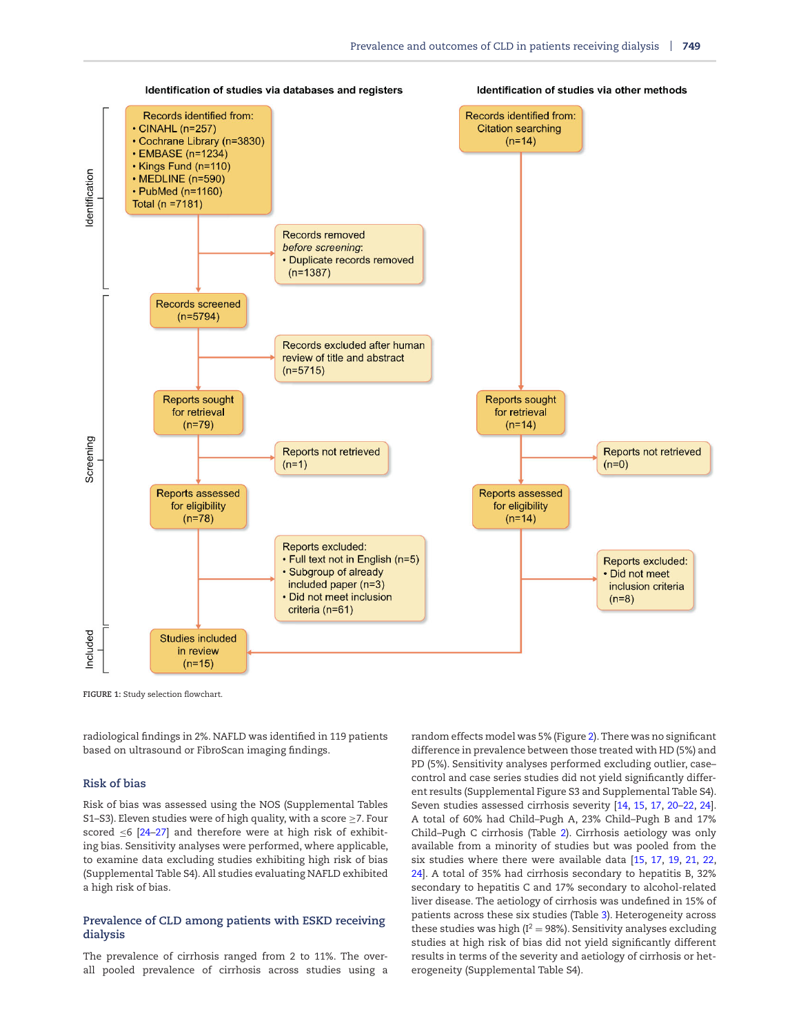<span id="page-2-0"></span>

**FIGURE 1:** Study selection flowchart.

radiological findings in 2%. NAFLD was identified in 119 patients based on ultrasound or FibroScan imaging findings.

# **Risk of bias**

Risk of bias was assessed using the NOS (Supplemental Tables S1–S3). Eleven studies were of high quality, with a score ≥7. Four scored  $\leq 6$  [\[24](#page-10-17)-27] and therefore were at high risk of exhibiting bias. Sensitivity analyses were performed, where applicable, to examine data excluding studies exhibiting high risk of bias (Supplemental Table S4). All studies evaluating NAFLD exhibited a high risk of bias.

# **Prevalence of CLD among patients with ESKD receiving dialysis**

The prevalence of cirrhosis ranged from 2 to 11%. The overall pooled prevalence of cirrhosis across studies using a random effects model was 5% (Figure [2\)](#page-6-0). There was no significant difference in prevalence between those treated with HD (5%) and PD (5%). Sensitivity analyses performed excluding outlier, case– control and case series studies did not yield significantly different results (Supplemental Figure S3 and Supplemental Table S4). Seven studies assessed cirrhosis severity [\[14,](#page-10-1) [15,](#page-10-8) [17,](#page-10-12) [20–](#page-10-10)[22,](#page-10-11) [24\]](#page-10-17). A total of 60% had Child–Pugh A, 23% Child–Pugh B and 17% Child–Pugh C cirrhosis (Table [2\)](#page-6-1). Cirrhosis aetiology was only available from a minority of studies but was pooled from the six studies where there were available data [\[15,](#page-10-8) [17,](#page-10-12) [19,](#page-10-13) [21,](#page-10-20) [22,](#page-10-11) [24\]](#page-10-17). A total of 35% had cirrhosis secondary to hepatitis B, 32% secondary to hepatitis C and 17% secondary to alcohol-related liver disease. The aetiology of cirrhosis was undefined in 15% of patients across these six studies (Table [3\)](#page-7-0). Heterogeneity across these studies was high  $(I^2 = 98\%)$ . Sensitivity analyses excluding studies at high risk of bias did not yield significantly different results in terms of the severity and aetiology of cirrhosis or heterogeneity (Supplemental Table S4).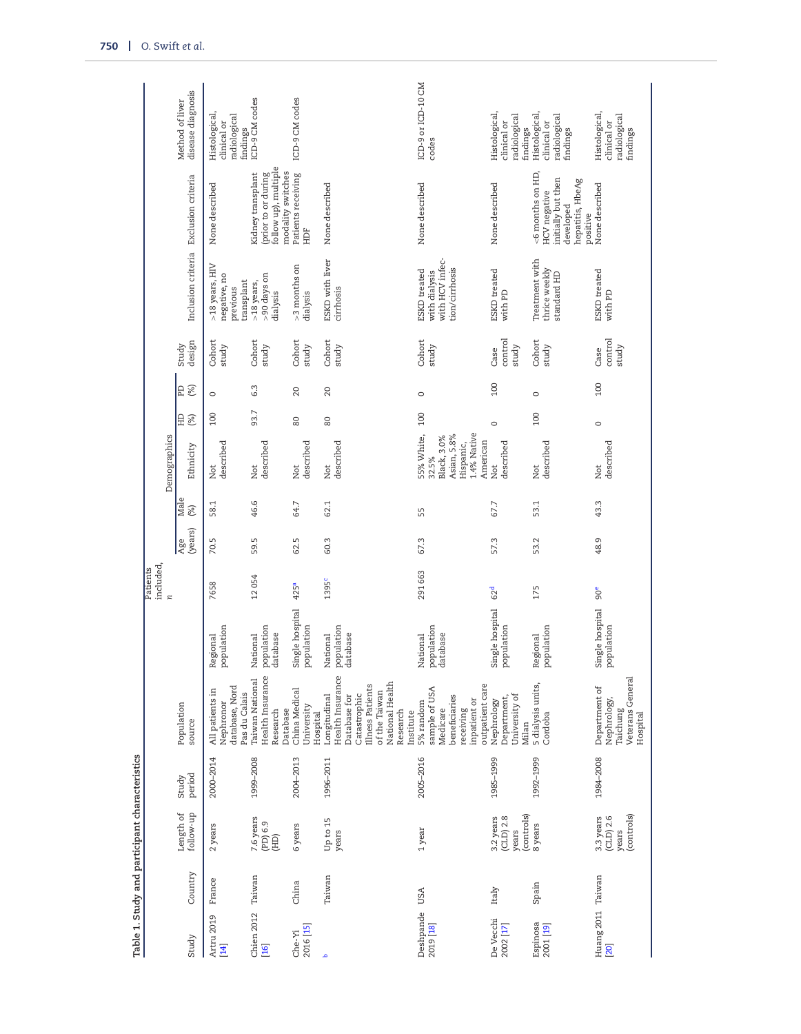| Study                      | Country           | follow-up<br>Length of                          | period<br>Study | Population<br>source                                                                                                                              |                                    | included,<br>Patients<br>$\approx$ | (years)<br>Age | Male<br>(%) | Demographics<br>Ethnicity                                                                 | 요<br>(%) | (%)<br>E | design<br>Study          | Inclusion criteria Exclusion criteria                              |                                                                                                        | disease diagnosis<br>Method of liver                           |
|----------------------------|-------------------|-------------------------------------------------|-----------------|---------------------------------------------------------------------------------------------------------------------------------------------------|------------------------------------|------------------------------------|----------------|-------------|-------------------------------------------------------------------------------------------|----------|----------|--------------------------|--------------------------------------------------------------------|--------------------------------------------------------------------------------------------------------|----------------------------------------------------------------|
| Artru 2019                 | France            | 2 years                                         | 2000-2014       | database, Nord<br>All patients in<br>Pas du Calais<br>Nephronor                                                                                   | population<br>Regional             | 7658                               | 70.5           | 58.1        | described<br>Not                                                                          | 100      | $\circ$  | Cohort<br>study          | >18 years, HIV<br>negative, no<br>transplant<br>previous           | None described                                                                                         | Histological,<br>radiological<br>clinical or<br>findings       |
| Chien 2012                 | Taiwan            | 7.6 years<br>(PD) 6.9<br>(HD)                   | 1999-2008       | Health Insurance<br>Taiwan National<br>Database<br>Research                                                                                       | population<br>database<br>National | 12054                              | 59.5           | 46.6        | described<br>Not                                                                          | 93.7     | 6.3      | Cohort<br>study          | -90 days on<br>>18 years,<br>dialysis                              | follow up), multiple<br>modality switches<br>(prior to or during<br>Kidney transplant                  | ICD-9 CM codes                                                 |
| 2016 [15]<br>Che-Yi        | China             | 6 years                                         | 2004-2013       | China Medical<br>University<br>Hospital                                                                                                           | Single hospital<br>population      | 425ª                               | 62.5           | 64.7        | described<br>Not                                                                          | 80       | 20       | Cohort<br>study          | $>3$ months on<br>dialysis                                         | Patients receiving<br>HDF                                                                              | ICD-9 CM codes                                                 |
|                            | Taiwan            | Up to 15<br>years                               | 1996-2011       | Health Insurance<br>National Health<br>Illness Patients<br>of the Taiwan<br>Catastrophic<br>Longitudinal<br>Database for<br>Research<br>institute | population<br>database<br>National | 1395 <sup>c</sup>                  | 60.3           | 62.1        | described<br>Not                                                                          | 80       | 20       | Cohort<br>study          | ESKD with liver<br>cirrhosis                                       | None described                                                                                         |                                                                |
| Deshpande USA<br>2019 [18] |                   | 1 year                                          | 2005-2016       | outpatient care<br>sample of USA<br>beneficiaries<br>inpatient or<br>5% random<br>Medicare<br>receiving                                           | population<br>database<br>National | 291663                             | 67.3           | 55          | 1.4% Native<br>55% White,<br>Asian, 5.8%<br>Black, 3.0%<br>American<br>Hispanic,<br>32.5% | 100      | $\circ$  | Cohort<br>study          | with HCV infec-<br>tion/cirrhosis<br>ESKD treated<br>with dialysis | None described                                                                                         | ICD-9 or ICD-10 CM<br>codes                                    |
| De Vecchi<br>2002 [17]     | Italy             | (controls)<br>3.2 years<br>$(CLD)$ 2.8<br>years | 1985-1999       | University of<br>Department,<br>Nephrology<br>Milan                                                                                               | Single hospital<br>population      | 62 <sup>d</sup>                    | 57.3           | 67.7        | described<br>Not                                                                          | $\circ$  | 100      | control<br>study<br>Case | ESKD treated<br>with PD                                            | None described                                                                                         | Histological,<br>radiological<br>clinical or<br>findings       |
| Espinosa<br>2001 [19]      | Spain             | 8 years                                         | 1992-1999       | 5 dialysis units,<br>Cordoba                                                                                                                      | population<br>Regional             | 175                                | 53.2           | 53.1        | described<br>Not                                                                          | 100      | $\circ$  | Cohort<br>study          | Treatment with<br>thrice weekly<br>standard HD                     | $<$ 6 months on HD,<br>initially but then<br>hepatitis, HbeAg<br>HCV negative<br>developed<br>positive | <b>Histological</b><br>radiological<br>clinical or<br>findings |
|                            | Huang 2011 Taiwan | (controls)<br>3.3 years<br>$(CLD)$ 2.6<br>years | 1984-2008       | Veterans General<br>Department of<br>Nephrology,<br>Taichung<br>Hospital                                                                          | Single hospital<br>population      | 90 <sup>e</sup>                    | 48.9           | 43.3        | described<br>Not                                                                          | $\circ$  | 100      | control<br>study<br>Case | ESKD treated<br>with PD                                            | None described                                                                                         | Histological,<br>radiological<br>clinical or<br>findings       |

<span id="page-3-0"></span>**Table 1. Study and participant characteristics**

Table 1. Study and participant characteristics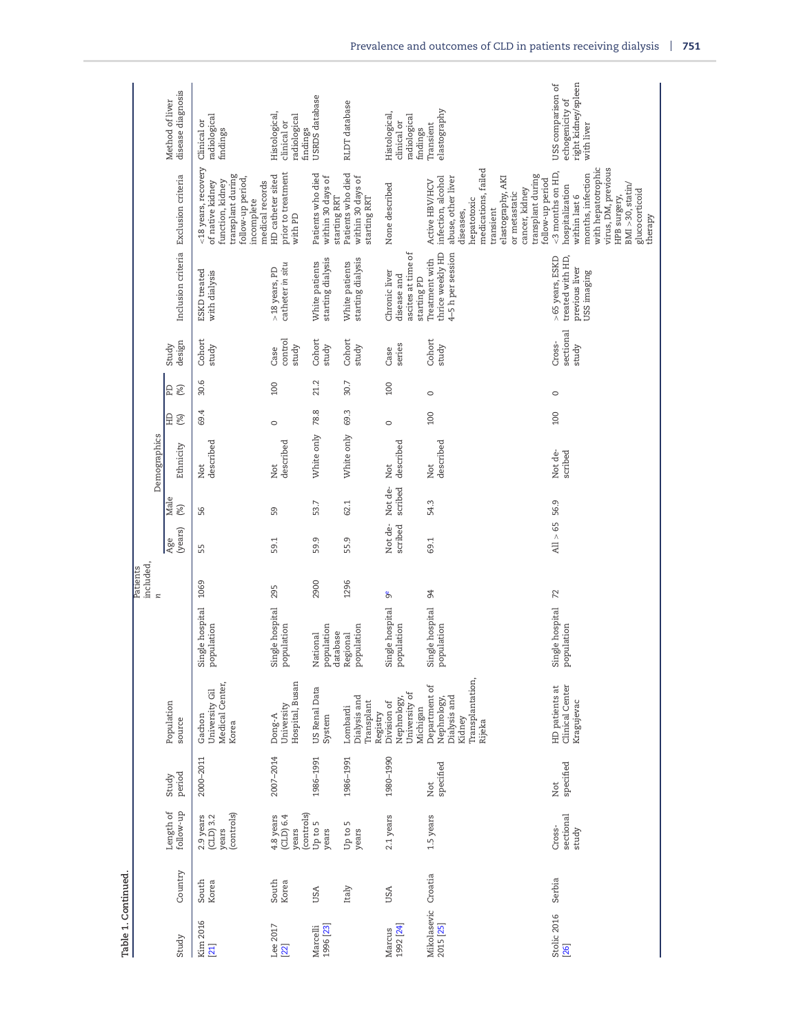| Table 1. Continued       |                |                                                 |                  |                                                                                      |                                    |                      |                    |                    |                    |          |          |                              |                                                                      |                                                                                                                                                                                                                             |                                                                           |
|--------------------------|----------------|-------------------------------------------------|------------------|--------------------------------------------------------------------------------------|------------------------------------|----------------------|--------------------|--------------------|--------------------|----------|----------|------------------------------|----------------------------------------------------------------------|-----------------------------------------------------------------------------------------------------------------------------------------------------------------------------------------------------------------------------|---------------------------------------------------------------------------|
|                          |                |                                                 |                  |                                                                                      |                                    | included<br>Patients |                    |                    |                    |          |          |                              |                                                                      |                                                                                                                                                                                                                             |                                                                           |
|                          |                |                                                 |                  |                                                                                      |                                    | $\mathbf{z}$         |                    |                    | Demographics       |          |          |                              |                                                                      |                                                                                                                                                                                                                             |                                                                           |
| Study                    | Country        | Length of<br>follow-up                          | period<br>Study  | Population<br>source                                                                 |                                    |                      | (years)<br>Age     | Male<br>(%)        | Ethnicity          | 요<br>(%) | (%)<br>E | design<br>Study              |                                                                      | Inclusion criteria Exclusion criteria                                                                                                                                                                                       | disease diagnosis<br>Method of liver                                      |
| Kim 2016<br>$[21]$       | South<br>Korea | (controls)<br>$2.9$ years<br>(CLD) 3.2<br>years | 2000-2011        | Medical Center,<br>University Gil<br>Gachon<br>Korea                                 | Single hospital 1069<br>population |                      | 55                 | 56                 | described<br>Not   | 69.4     | 30.6     | Cohort<br>study              | ESKD treated<br>with dialysis                                        | <18 years, recovery<br>transplant during<br>follow-up period,<br>function, kidney<br>medical records<br>of native kidney<br>incomplete                                                                                      | radiological<br>Clinical or<br>findings                                   |
| Lee 2017<br>$[22]$       | South<br>Korea | (controls)<br>(LLD) 6.4<br>4.8 years<br>years   | 2007-2014        | Hospital, Busan<br>University<br>Dong-A                                              | single hospital<br>population      | 295                  | 59.1               | S9                 | described<br>Not   | $\circ$  | 100      | control<br>study<br>Case     | catheter in situ<br>>18 years, PD                                    | prior to treatment<br>with PD<br>HD catheter sited                                                                                                                                                                          | Histological,<br>radiological<br>clinical or<br>findings                  |
| 1996 [23]<br>Marcelli    | USA            | Up to 5<br>years                                | 1986-1991        | US Renal Data<br>System                                                              | population<br>database<br>National | 2900                 | 59.9               | 53.7               | White only         | 78.8     | 21.2     | Cohort<br>study              | starting dialysis<br>White patients                                  | Patients who died<br>within 30 days of<br>starting RRT                                                                                                                                                                      | USRDS database                                                            |
|                          | Italy          | S<br>Up to<br>years                             | 1986-1991        | Dialysis and<br>Transplant<br>Lombardi<br>Registry                                   | population<br>Regional             | 1296                 | 55.9               | 62.1               | White only         | 69.3     | 30.7     | Cohort<br>study              | starting dialysis<br>White patients                                  | Patients who died<br>within 30 days of<br>starting RRT                                                                                                                                                                      | RLDT database                                                             |
| 1992 [24]<br>Marcus      | USA            | 2.1 years                                       | 1980-1990        | University of<br>Nephrology,<br>Division of<br>Michigan                              | Single hospital<br>population      | ზ<br>თ               | Not de-<br>scribed | Not de-<br>scribed | described<br>Not   | $\circ$  | 100      | series<br>Case               | ascites at time of<br>Chronic liver<br>disease and<br>starting PD    | None described                                                                                                                                                                                                              | Histological,<br>radiological<br>clinical or<br>findings                  |
| Mikolasevic<br>2015 [25] | Croatia        | 1.5 years                                       | specified<br>Not | Transplantation,<br>Department of<br>Dialysis and<br>Nephrology,<br>Kidney<br>Rijeka | Single hospital<br>population      | 94                   | 69.1               | 54.3               | described<br>Not   | 100      | $\circ$  | Cohort<br>study              | thrice weekly HD<br>4-5 h per session<br>Treatment with              | medications, failed<br>transplant during<br>abuse, other liver<br>elastography, AKI<br>infection, alcohol<br>follow-up period<br>Active HBV/HCV<br>cancer, kidney<br>or metastatic<br>hepatotoxic<br>transient<br>diseases, | elastography<br>Transient                                                 |
| Stolic 2016<br>[26]      | Serbia         | sectional<br>Cross-<br>study                    | specified<br>Not | Clinical Center<br>HD patients at<br>Kragujevac                                      | Single hospital<br>population      | 72                   | All > 65           | 56.9               | Not de-<br>scribed | 100      | $\circ$  | sectional<br>Cross-<br>study | >65 years, ESKD<br>treated with HD,<br>previous liver<br>USS imaging | with hepatotrophic<br>virus, DM, previous<br><3 months on HD,<br>months, infection<br>$BMI > 30$ , statin/<br>hospitalization<br>glucocorticoid<br>within last 6<br>HPB surgery,<br>therapy                                 | right kidney/spleen<br>USS comparison of<br>echogenicity of<br>with liver |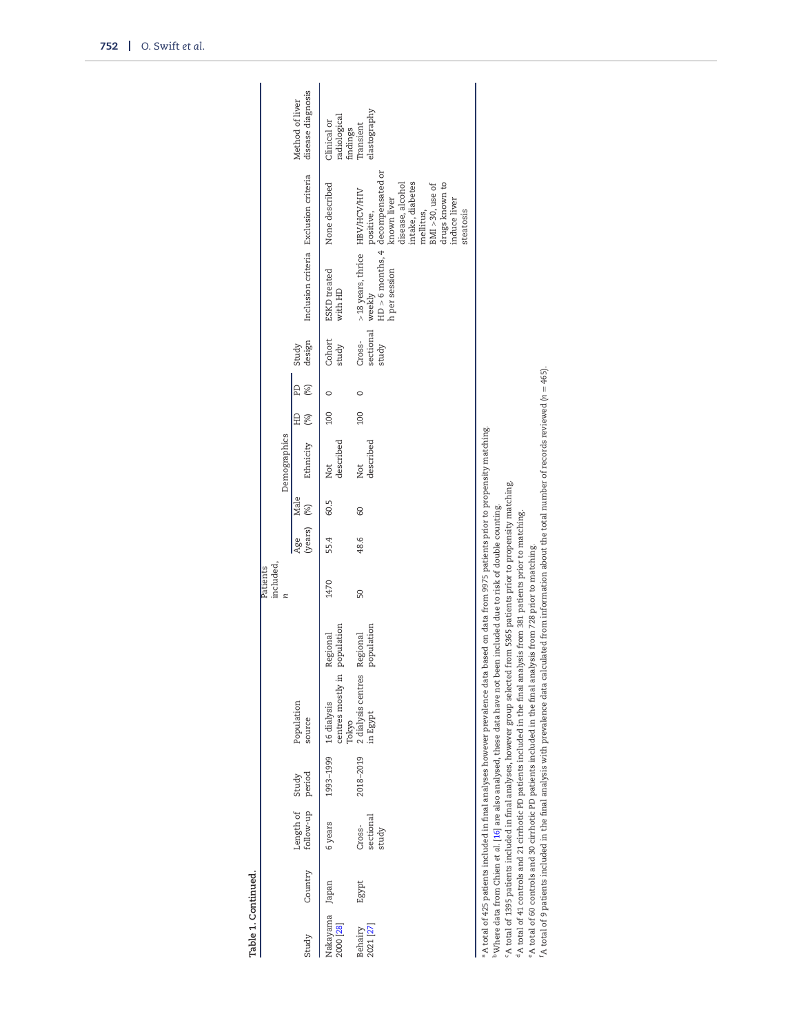|                       |         |                                     |           |                                                                                                                                                                                                                                                                                                                                                                                                                                                                                                                                                                                                                                                                                                                                                                                                                                 |                        | included,<br>Patients |                        |      |                  |              |          |                              |                                                |                                                                                                                                        |                                         |
|-----------------------|---------|-------------------------------------|-----------|---------------------------------------------------------------------------------------------------------------------------------------------------------------------------------------------------------------------------------------------------------------------------------------------------------------------------------------------------------------------------------------------------------------------------------------------------------------------------------------------------------------------------------------------------------------------------------------------------------------------------------------------------------------------------------------------------------------------------------------------------------------------------------------------------------------------------------|------------------------|-----------------------|------------------------|------|------------------|--------------|----------|------------------------------|------------------------------------------------|----------------------------------------------------------------------------------------------------------------------------------------|-----------------------------------------|
|                       |         |                                     |           |                                                                                                                                                                                                                                                                                                                                                                                                                                                                                                                                                                                                                                                                                                                                                                                                                                 |                        |                       |                        |      | Demographics     |              |          |                              |                                                |                                                                                                                                        |                                         |
| Study                 | Country | follow-up period<br>Length of Study |           | Population<br>source                                                                                                                                                                                                                                                                                                                                                                                                                                                                                                                                                                                                                                                                                                                                                                                                            |                        |                       | $(years)$ $(%)$<br>Age | Male | Ethnicity        | $\Xi$<br>(%) | E<br>(%) | design<br>Study              | Inclusion criteria Exclusion criteria          |                                                                                                                                        | disease diagnosis<br>Method of liver    |
| Nakayama<br>2000 [28] | Japan   | 6 years                             | 1993-1999 | centres mostly in<br>16 dialysis<br>Tokyo                                                                                                                                                                                                                                                                                                                                                                                                                                                                                                                                                                                                                                                                                                                                                                                       | population<br>Regional | 1470                  | 55.4                   | 60.5 | described<br>Not | <b>DOI</b>   |          | Cohort<br>study              | <b>ESKD</b> treated<br>with HD                 | None described                                                                                                                         | radiological<br>Clinical or<br>findings |
| 2021 [27]<br>Behairy  | Egypt   | sectional<br>Cross-<br>study        | 2018-2019 | 2 dialysis centres<br>.n Egypt                                                                                                                                                                                                                                                                                                                                                                                                                                                                                                                                                                                                                                                                                                                                                                                                  | population<br>Regional | 50                    | 48.6                   | 8    | described<br>Not | <b>DOI</b>   | C        | sectional<br>Cross-<br>study | >18 years, thrice HBV/HCV/HIV<br>h per session | intake, diabetes<br>drugs known to<br>induce liver<br>$BMI > 30$ , use of<br>disease, alcohol<br>known liver<br>mellitus,<br>steatosis | elastography<br>Transient               |
|                       |         |                                     |           | $^6$ A total of 9 patients included in the final analysis with prevalence data calculated from information about the total number of records reviewed (n = 465).<br>a total of 425 patients included in final analyses however prevalence data based on data from 9975 patients prior to propensity matching.<br>A total of 1395 patients included in final analyses, however group selected from 5365 patients prior to propensity matching.<br>Where data from Chien et al. [16] are also analysed, these data have not been included due to risk of double counting. $\,$<br>$^4$ A total of 41 controls and 21 cirrhotic PD patients included in the final analysis from 381 patients prior to matching.<br>°A total of 60 controls and 30 cirrhotic PD patients included in the final analysis from 728 prior to matching. |                        |                       |                        |      |                  |              |          |                              |                                                |                                                                                                                                        |                                         |

<span id="page-5-3"></span><span id="page-5-2"></span><span id="page-5-1"></span><span id="page-5-0"></span>**Table 1. Continued.**

Table 1. Continued.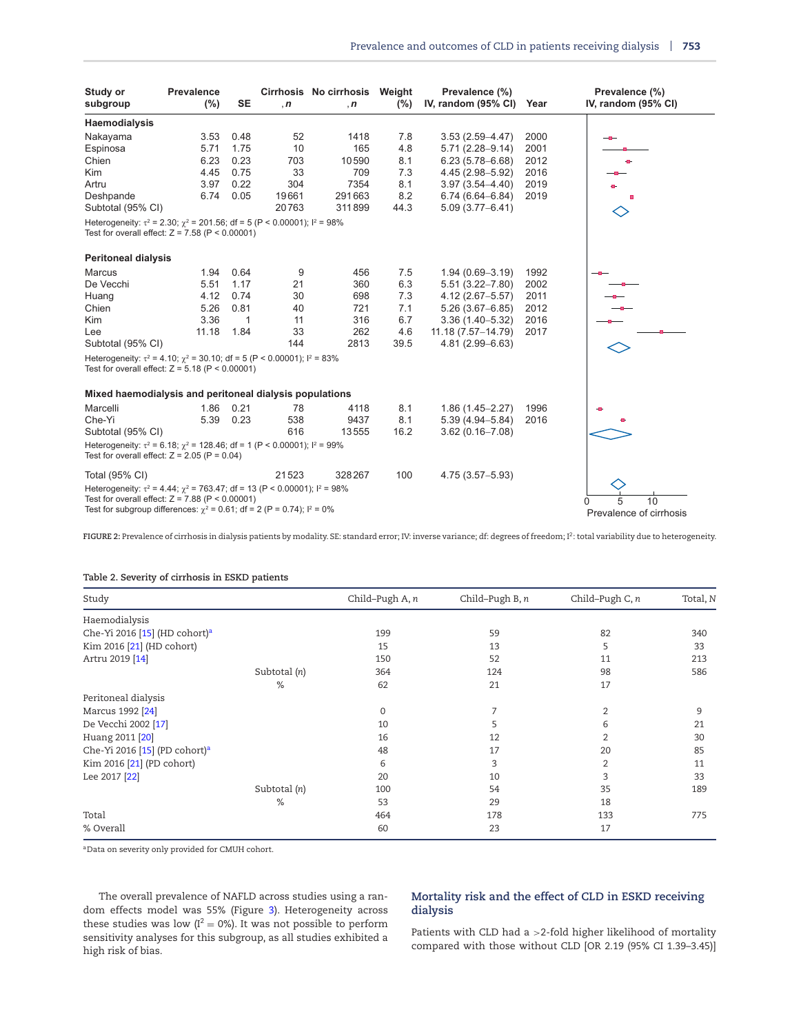<span id="page-6-0"></span>

| Study or<br>subgroup                                                                                                                        | Prevalence<br>$(\% )$ | <b>SE</b> | , n   | Cirrhosis No cirrhosis Weight<br>$\cdot$ n | (%)  | Prevalence (%)<br>IV, random (95% CI) | Year | Prevalence (%)<br>IV, random (95% CI) |
|---------------------------------------------------------------------------------------------------------------------------------------------|-----------------------|-----------|-------|--------------------------------------------|------|---------------------------------------|------|---------------------------------------|
| Haemodialysis                                                                                                                               |                       |           |       |                                            |      |                                       |      |                                       |
| Nakayama                                                                                                                                    | 3.53                  | 0.48      | 52    | 1418                                       | 7.8  | $3.53(2.59 - 4.47)$                   | 2000 |                                       |
| Espinosa                                                                                                                                    | 5.71                  | 1.75      | 10    | 165                                        | 4.8  | $5.71(2.28 - 9.14)$                   | 2001 |                                       |
| Chien                                                                                                                                       | 6.23                  | 0.23      | 703   | 10590                                      | 8.1  | $6.23(5.78 - 6.68)$                   | 2012 |                                       |
| Kim                                                                                                                                         | 4.45                  | 0.75      | 33    | 709                                        | 7.3  | 4.45 (2.98-5.92)                      | 2016 |                                       |
| Artru                                                                                                                                       | 3.97                  | 0.22      | 304   | 7354                                       | 8.1  | $3.97(3.54 - 4.40)$                   | 2019 |                                       |
| Deshpande                                                                                                                                   | 6.74                  | 0.05      | 19661 | 291663                                     | 8.2  | $6.74(6.64 - 6.84)$                   | 2019 |                                       |
| Subtotal (95% CI)                                                                                                                           |                       |           | 20763 | 311899                                     | 44.3 | $5.09(3.77 - 6.41)$                   |      |                                       |
| Heterogeneity: $\tau^2$ = 2.30; $\gamma^2$ = 201.56; df = 5 (P < 0.00001); $I^2$ = 98%<br>Test for overall effect: $Z = 7.58$ (P < 0.00001) |                       |           |       |                                            |      |                                       |      |                                       |
| <b>Peritoneal dialysis</b>                                                                                                                  |                       |           |       |                                            |      |                                       |      |                                       |
| Marcus                                                                                                                                      | 1.94                  | 0.64      | 9     | 456                                        | 7.5  | $1.94(0.69 - 3.19)$                   | 1992 |                                       |
| De Vecchi                                                                                                                                   | 5.51                  | 1.17      | 21    | 360                                        | 6.3  | $5.51(3.22 - 7.80)$                   | 2002 |                                       |
| Huang                                                                                                                                       | 4.12                  | 0.74      | 30    | 698                                        | 7.3  | $4.12(2.67 - 5.57)$                   | 2011 |                                       |
| Chien                                                                                                                                       | 5.26                  | 0.81      | 40    | 721                                        | 7.1  | $5.26(3.67 - 6.85)$                   | 2012 |                                       |
| <b>Kim</b>                                                                                                                                  | 3.36                  | 1         | 11    | 316                                        | 6.7  | $3.36(1.40 - 5.32)$                   | 2016 |                                       |
| Lee                                                                                                                                         | 11.18                 | 1.84      | 33    | 262                                        | 4.6  | 11.18 (7.57-14.79)                    | 2017 |                                       |
| Subtotal (95% CI)                                                                                                                           |                       |           | 144   | 2813                                       | 39.5 | 4.81 (2.99-6.63)                      |      |                                       |
| Heterogeneity: $\tau^2 = 4.10$ ; $\chi^2 = 30.10$ ; df = 5 (P < 0.00001); $I^2 = 83\%$<br>Test for overall effect: $Z = 5.18$ (P < 0.00001) |                       |           |       |                                            |      |                                       |      |                                       |
| Mixed haemodialysis and peritoneal dialysis populations                                                                                     |                       |           |       |                                            |      |                                       |      |                                       |
| Marcelli                                                                                                                                    | 1.86                  | 0.21      | 78    | 4118                                       | 8.1  | $1.86(1.45 - 2.27)$                   | 1996 |                                       |
| Che-Yi                                                                                                                                      | 5.39                  | 0.23      | 538   | 9437                                       | 8.1  | $5.39(4.94 - 5.84)$                   | 2016 |                                       |
| Subtotal (95% CI)                                                                                                                           |                       |           | 616   | 13555                                      | 16.2 | $3.62(0.16 - 7.08)$                   |      |                                       |
| Heterogeneity: $\tau^2$ = 6.18; $\chi^2$ = 128.46; df = 1 (P < 0.00001); $I^2$ = 99%<br>Test for overall effect: $Z = 2.05$ (P = 0.04)      |                       |           |       |                                            |      |                                       |      |                                       |
| Total (95% CI)                                                                                                                              |                       |           | 21523 | 328267                                     | 100  | $4.75(3.57 - 5.93)$                   |      |                                       |
| Heterogeneity: $\tau^2 = 4.44$ ; $\chi^2 = 763.47$ ; df = 13 (P < 0.00001); $I^2 = 98\%$                                                    |                       |           |       |                                            |      |                                       |      |                                       |
| Test for overall effect: $Z = 7.88$ (P < 0.00001)                                                                                           |                       |           |       |                                            |      |                                       |      | 10<br>5                               |
| Test for subgroup differences: $\chi^2 = 0.61$ ; df = 2 (P = 0.74); $I^2 = 0\%$                                                             |                       |           |       |                                            |      |                                       |      | Prevalence of cirrhosis               |

**FIGURE 2:** Prevalence of cirrhosis in dialysis patients by modality. SE: standard error; IV: inverse variance; df: degrees of freedom; I2: total variability due to heterogeneity.

# <span id="page-6-1"></span>**Table 2. Severity of cirrhosis in ESKD patients**

| Study                                     |              | Child-Pugh A, n | Child-Pugh B, n | Child-Pugh C, n | Total, N |
|-------------------------------------------|--------------|-----------------|-----------------|-----------------|----------|
| Haemodialysis                             |              |                 |                 |                 |          |
| Che-Yi 2016 [15] (HD cohort) <sup>a</sup> |              | 199             | 59              | 82              | 340      |
| Kim 2016 [21] (HD cohort)                 |              | 15              | 13              | 5               | 33       |
| Artru 2019 [14]                           |              | 150             | 52              | 11              | 213      |
|                                           | Subtotal (n) | 364             | 124             | 98              | 586      |
|                                           | %            | 62              | 21              | 17              |          |
| Peritoneal dialysis                       |              |                 |                 |                 |          |
| Marcus 1992 [24]                          |              | 0               | 7               | $\overline{2}$  | 9        |
| De Vecchi 2002 [17]                       |              | 10              | 5               | 6               | 21       |
| Huang 2011 [20]                           |              | 16              | 12              |                 | 30       |
| Che-Yi 2016 [15] (PD cohort) <sup>a</sup> |              | 48              | 17              | 20              | 85       |
| Kim 2016 [21] (PD cohort)                 |              | 6               | 3               | 2               | 11       |
| Lee 2017 [22]                             |              | 20              | 10              | 3               | 33       |
|                                           | Subtotal (n) | 100             | 54              | 35              | 189      |
|                                           | %            | 53              | 29              | 18              |          |
| Total                                     |              | 464             | 178             | 133             | 775      |
| % Overall                                 |              | 60              | 23              | 17              |          |

<span id="page-6-2"></span>aData on severity only provided for CMUH cohort.

The overall prevalence of NAFLD across studies using a random effects model was 55% (Figure [3\)](#page-7-1). Heterogeneity across these studies was low ( $I^2 = 0\%$ ). It was not possible to perform sensitivity analyses for this subgroup, as all studies exhibited a high risk of bias.

# **Mortality risk and the effect of CLD in ESKD receiving dialysis**

Patients with CLD had a >2-fold higher likelihood of mortality compared with those without CLD [OR 2.19 (95% CI 1.39–3.45)]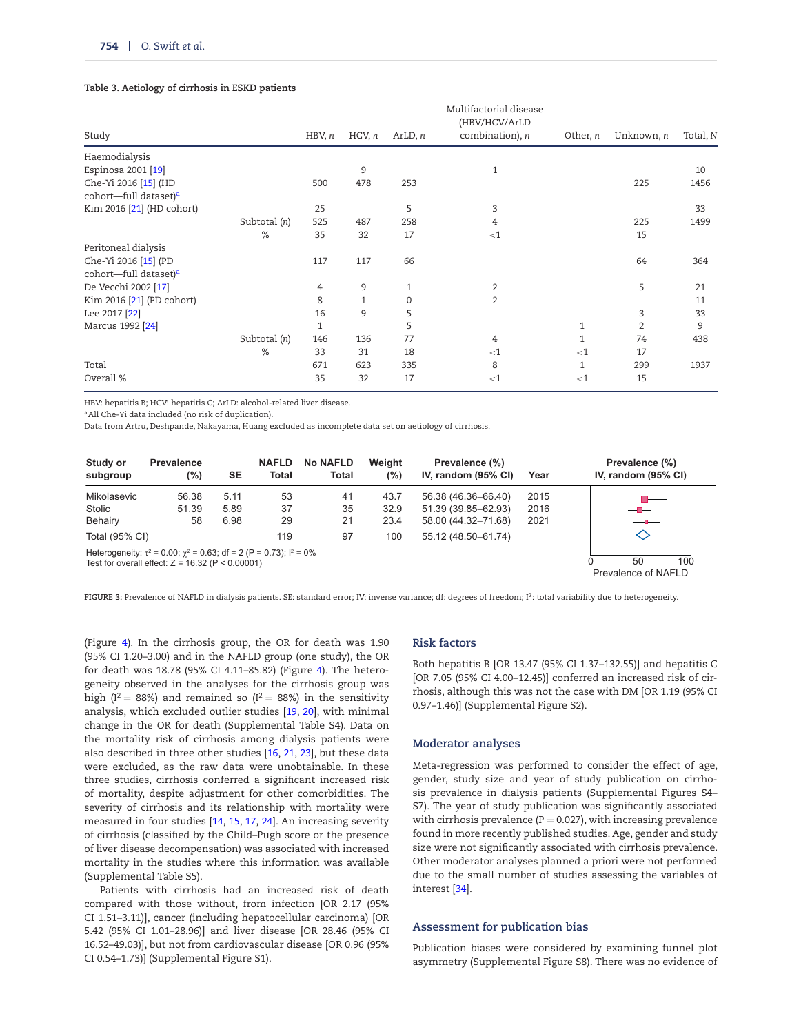#### <span id="page-7-0"></span>**Table 3. Aetiology of cirrhosis in ESKD patients**

|                                   |              |        |              |             | Multifactorial disease |              |                |          |
|-----------------------------------|--------------|--------|--------------|-------------|------------------------|--------------|----------------|----------|
|                                   |              |        |              |             | (HBV/HCV/ArLD          |              |                |          |
| Study                             |              | HBV, n | HCV, n       | ArLD, n     | combination), n        | Other, n     | Unknown, n     | Total, N |
| Haemodialysis                     |              |        |              |             |                        |              |                |          |
| Espinosa 2001 [19]                |              |        | 9            |             | 1                      |              |                | 10       |
| Che-Yi 2016 [15] (HD              |              | 500    | 478          | 253         |                        |              | 225            | 1456     |
| cohort-full dataset) <sup>a</sup> |              |        |              |             |                        |              |                |          |
| Kim 2016 [21] (HD cohort)         |              | 25     |              | 5           | 3                      |              |                | 33       |
|                                   | Subtotal (n) | 525    | 487          | 258         | 4                      |              | 225            | 1499     |
|                                   | %            | 35     | 32           | 17          | $<$ 1                  |              | 15             |          |
| Peritoneal dialysis               |              |        |              |             |                        |              |                |          |
| Che-Yi 2016 [15] (PD              |              | 117    | 117          | 66          |                        |              | 64             | 364      |
| cohort-full dataset) <sup>a</sup> |              |        |              |             |                        |              |                |          |
| De Vecchi 2002 [17]               |              | 4      | 9            | 1           | 2                      |              | 5              | 21       |
| Kim 2016 [21] (PD cohort)         |              | 8      | $\mathbf{1}$ | $\mathbf 0$ | $\overline{2}$         |              |                | 11       |
| Lee 2017 [22]                     |              | 16     | 9            | 5           |                        |              | 3              | 33       |
| Marcus 1992 [24]                  |              | 1      |              | 5           |                        | 1            | $\overline{2}$ | 9        |
|                                   | Subtotal (n) | 146    | 136          | 77          | 4                      | $\mathbf{1}$ | 74             | 438      |
|                                   | %            | 33     | 31           | 18          | $<$ 1                  | $<$ 1        | 17             |          |
| Total                             |              | 671    | 623          | 335         | 8                      | $\mathbf{1}$ | 299            | 1937     |
| Overall %                         |              | 35     | 32           | 17          | $<$ 1                  | $<$ 1        | 15             |          |
|                                   |              |        |              |             |                        |              |                |          |

HBV: hepatitis B; HCV: hepatitis C; ArLD: alcohol-related liver disease.

<span id="page-7-2"></span>aAll Che-Yi data included (no risk of duplication).

Data from Artru, Deshpande, Nakayama, Huang excluded as incomplete data set on aetiology of cirrhosis.

<span id="page-7-1"></span>

| Study or<br>subgroup | <b>Prevalence</b><br>(%)                                                                                                                  | <b>SE</b> | <b>NAFLD</b><br>Total | <b>No NAFLD</b><br>Total | Weight<br>(%) | Prevalence (%)<br>IV, random $(95\% \text{ Cl})$ | Year | Prevalence (%)<br>IV, random $(95\% \text{ Cl})$ |
|----------------------|-------------------------------------------------------------------------------------------------------------------------------------------|-----------|-----------------------|--------------------------|---------------|--------------------------------------------------|------|--------------------------------------------------|
| Mikolasevic          | 56.38                                                                                                                                     | 5.11      | 53                    | 41                       | 43.7          | 56.38 (46.36-66.40)                              | 2015 |                                                  |
| Stolic               | 51.39                                                                                                                                     | 5.89      | 37                    | 35                       | 32.9          | 51.39 (39.85-62.93)                              | 2016 | $-$ n $-$                                        |
| Behairy              | 58                                                                                                                                        | 6.98      | 29                    | 21                       | 23.4          | 58.00 (44.32-71.68)                              | 2021 | $-$ 0 $-$                                        |
| Total (95% CI)       |                                                                                                                                           |           | 119                   | 97                       | 100           | 55.12 (48.50-61.74)                              |      | ◇                                                |
|                      | Heterogeneity: $\tau^2 = 0.00$ ; $\gamma^2 = 0.63$ ; df = 2 (P = 0.73); $l^2 = 0\%$<br>Test for overall effect: $Z = 16.32$ (P < 0.00001) |           |                       |                          |               |                                                  |      | 100<br>50<br>Prevalence of NAFLD                 |

**FIGURE 3:** Prevalence of NAFLD in dialysis patients. SE: standard error; IV: inverse variance; df: degrees of freedom; I2: total variability due to heterogeneity.

(Figure [4\)](#page-8-0). In the cirrhosis group, the OR for death was 1.90 (95% CI 1.20–3.00) and in the NAFLD group (one study), the OR for death was 18.78 (95% CI 4.11–85.82) (Figure [4\)](#page-8-0). The heterogeneity observed in the analyses for the cirrhosis group was high (I<sup>2</sup> = 88%) and remained so (I<sup>2</sup> = 88%) in the sensitivity analysis, which excluded outlier studies [\[19,](#page-10-13) [20\]](#page-10-10), with minimal change in the OR for death (Supplemental Table S4). Data on the mortality risk of cirrhosis among dialysis patients were also described in three other studies [\[16,](#page-10-9) [21,](#page-10-20) [23\]](#page-10-19), but these data were excluded, as the raw data were unobtainable. In these three studies, cirrhosis conferred a significant increased risk of mortality, despite adjustment for other comorbidities. The severity of cirrhosis and its relationship with mortality were measured in four studies [\[14,](#page-10-1) [15,](#page-10-8) [17,](#page-10-12) [24\]](#page-10-17). An increasing severity of cirrhosis (classified by the Child–Pugh score or the presence of liver disease decompensation) was associated with increased mortality in the studies where this information was available (Supplemental Table S5).

Patients with cirrhosis had an increased risk of death compared with those without, from infection [OR 2.17 (95% CI 1.51–3.11)], cancer (including hepatocellular carcinoma) [OR 5.42 (95% CI 1.01–28.96)] and liver disease [OR 28.46 (95% CI 16.52–49.03)], but not from cardiovascular disease [OR 0.96 (95% CI 0.54–1.73)] (Supplemental Figure S1).

# **Risk factors**

Both hepatitis B [OR 13.47 (95% CI 1.37–132.55)] and hepatitis C [OR 7.05 (95% CI 4.00–12.45)] conferred an increased risk of cirrhosis, although this was not the case with DM [OR 1.19 (95% CI 0.97–1.46)] (Supplemental Figure S2).

#### **Moderator analyses**

Meta-regression was performed to consider the effect of age, gender, study size and year of study publication on cirrhosis prevalence in dialysis patients (Supplemental Figures S4– S7). The year of study publication was significantly associated with cirrhosis prevalence ( $P = 0.027$ ), with increasing prevalence found in more recently published studies. Age, gender and study size were not significantly associated with cirrhosis prevalence. Other moderator analyses planned a priori were not performed due to the small number of studies assessing the variables of interest [\[34\]](#page-10-21).

#### **Assessment for publication bias**

Publication biases were considered by examining funnel plot asymmetry (Supplemental Figure S8). There was no evidence of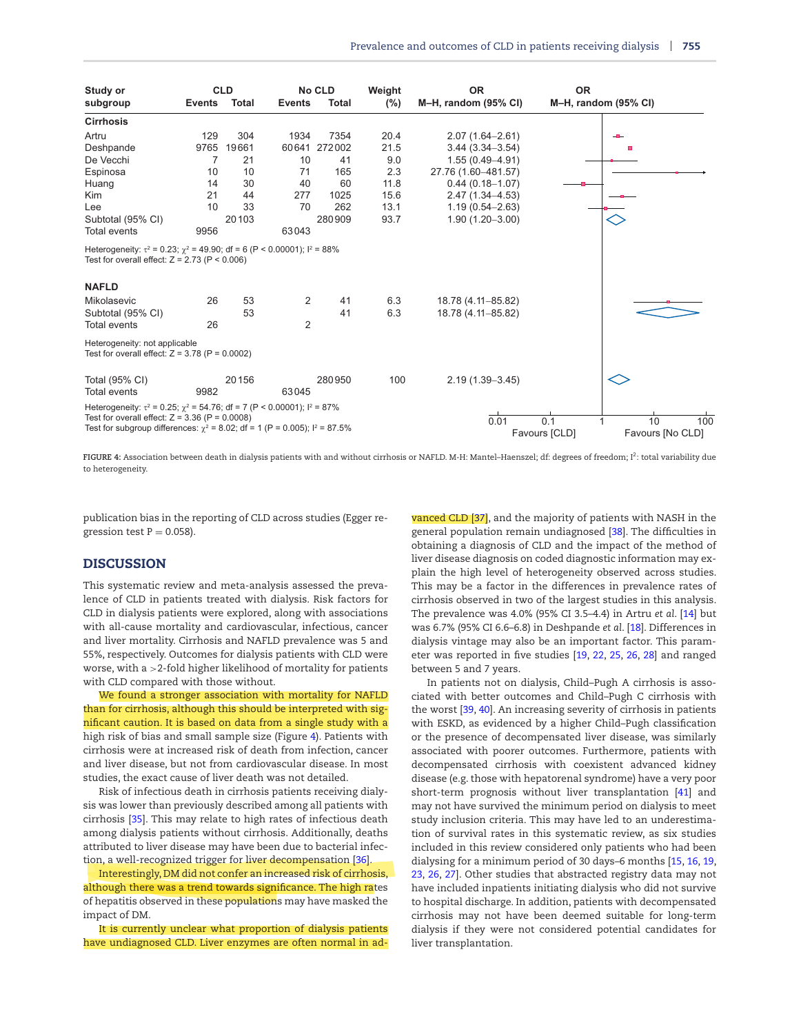<span id="page-8-0"></span>

| Study or                                                                                                                                                                                                                          |               | <b>CLD</b>   |                | <b>No CLD</b> | Weight | <b>OR</b>            | <b>OR</b>                                      |     |
|-----------------------------------------------------------------------------------------------------------------------------------------------------------------------------------------------------------------------------------|---------------|--------------|----------------|---------------|--------|----------------------|------------------------------------------------|-----|
| subgroup                                                                                                                                                                                                                          | <b>Events</b> | <b>Total</b> | <b>Events</b>  | <b>Total</b>  | (% )   | M-H, random (95% CI) | M-H, random (95% CI)                           |     |
| <b>Cirrhosis</b>                                                                                                                                                                                                                  |               |              |                |               |        |                      |                                                |     |
| Artru                                                                                                                                                                                                                             | 129           | 304          | 1934           | 7354          | 20.4   | $2.07(1.64 - 2.61)$  |                                                |     |
| Deshpande                                                                                                                                                                                                                         | 9765          | 19661        | 60641          | 272002        | 21.5   | $3.44(3.34 - 3.54)$  |                                                |     |
| De Vecchi                                                                                                                                                                                                                         | 7             | 21           | 10             | 41            | 9.0    | $1.55(0.49 - 4.91)$  |                                                |     |
| Espinosa                                                                                                                                                                                                                          | 10            | 10           | 71             | 165           | 2.3    | 27.76 (1.60-481.57)  |                                                |     |
| Huang                                                                                                                                                                                                                             | 14            | 30           | 40             | 60            | 11.8   | $0.44(0.18 - 1.07)$  |                                                |     |
| <b>Kim</b>                                                                                                                                                                                                                        | 21            | 44           | 277            | 1025          | 15.6   | $2.47(1.34 - 4.53)$  |                                                |     |
| Lee                                                                                                                                                                                                                               | 10            | 33           | 70             | 262           | 13.1   | $1.19(0.54 - 2.63)$  |                                                |     |
| Subtotal (95% CI)                                                                                                                                                                                                                 |               | 20103        |                | 280909        | 93.7   | $1.90(1.20 - 3.00)$  |                                                |     |
| <b>Total events</b>                                                                                                                                                                                                               | 9956          |              | 63043          |               |        |                      |                                                |     |
| Heterogeneity: $\tau^2$ = 0.23; $\gamma^2$ = 49.90; df = 6 (P < 0.00001); $l^2$ = 88%<br>Test for overall effect: $Z = 2.73$ (P < 0.006)<br><b>NAFLD</b>                                                                          |               |              |                |               |        |                      |                                                |     |
| Mikolasevic                                                                                                                                                                                                                       | 26            | 53           | 2              | 41            | 6.3    | 18.78 (4.11-85.82)   |                                                |     |
| Subtotal (95% CI)                                                                                                                                                                                                                 |               | 53           |                | 41            | 6.3    | 18.78 (4.11-85.82)   |                                                |     |
| <b>Total events</b>                                                                                                                                                                                                               | 26            |              | $\overline{2}$ |               |        |                      |                                                |     |
| Heterogeneity: not applicable<br>Test for overall effect: $Z = 3.78$ (P = 0.0002)                                                                                                                                                 |               |              |                |               |        |                      |                                                |     |
| Total (95% CI)<br><b>Total events</b>                                                                                                                                                                                             | 9982          | 20156        | 63045          | 280950        | 100    | $2.19(1.39 - 3.45)$  |                                                |     |
| Heterogeneity: $\tau^2 = 0.25$ ; $\gamma^2 = 54.76$ ; df = 7 (P < 0.00001); $I^2 = 87\%$<br>Test for overall effect: $Z = 3.36$ (P = 0.0008)<br>Test for subgroup differences: $\chi^2$ = 8.02; df = 1 (P = 0.005); $I^2$ = 87.5% |               |              |                |               |        | 0.01                 | 0.1<br>10<br>Favours [CLD]<br>Favours [No CLD] | 100 |

**FIGURE 4:** Association between death in dialysis patients with and without cirrhosis or NAFLD. M-H: Mantel–Haenszel; df: degrees of freedom; I2: total variability due to heterogeneity.

publication bias in the reporting of CLD across studies (Egger regression test  $P = 0.058$ ).

# **DISCUSSION**

This systematic review and meta-analysis assessed the prevalence of CLD in patients treated with dialysis. Risk factors for CLD in dialysis patients were explored, along with associations with all-cause mortality and cardiovascular, infectious, cancer and liver mortality. Cirrhosis and NAFLD prevalence was 5 and 55%, respectively. Outcomes for dialysis patients with CLD were worse, with a >2-fold higher likelihood of mortality for patients with CLD compared with those without.

We found a stronger association with mortality for NAFLD than for cirrhosis, although this should be interpreted with significant caution. It is based on data from a single study with a high risk of bias and small sample size (Figure [4\)](#page-8-0). Patients with cirrhosis were at increased risk of death from infection, cancer and liver disease, but not from cardiovascular disease. In most studies, the exact cause of liver death was not detailed.

Risk of infectious death in cirrhosis patients receiving dialysis was lower than previously described among all patients with cirrhosis [\[35\]](#page-10-22). This may relate to high rates of infectious death among dialysis patients without cirrhosis. Additionally, deaths attributed to liver disease may have been due to bacterial infection, a well-recognized trigger for liver decompensation [\[36\]](#page-10-23).

Interestingly, DM did not confer an increased risk of cirrhosis, although there was a trend towards significance. The high rates of hepatitis observed in these populations may have masked the impact of DM.

It is currently unclear what proportion of dialysis patients have undiagnosed CLD. Liver enzymes are often normal in advanced CLD [\[37\]](#page-10-24), and the majority of patients with NASH in the general population remain undiagnosed [\[38\]](#page-10-25). The difficulties in obtaining a diagnosis of CLD and the impact of the method of liver disease diagnosis on coded diagnostic information may explain the high level of heterogeneity observed across studies. This may be a factor in the differences in prevalence rates of cirrhosis observed in two of the largest studies in this analysis. The prevalence was 4.0% (95% CI 3.5–4.4) in Artru *et al*. [\[14\]](#page-10-1) but was 6.7% (95% CI 6.6–6.8) in Deshpande *et al*. [\[18\]](#page-10-16). Differences in dialysis vintage may also be an important factor. This parameter was reported in five studies [\[19,](#page-10-13) [22,](#page-10-11) [25,](#page-10-14) [26,](#page-10-15) [28\]](#page-10-2) and ranged between 5 and 7 years.

In patients not on dialysis, Child–Pugh A cirrhosis is associated with better outcomes and Child–Pugh C cirrhosis with the worst [\[39,](#page-10-26) [40\]](#page-10-27). An increasing severity of cirrhosis in patients with ESKD, as evidenced by a higher Child–Pugh classification or the presence of decompensated liver disease, was similarly associated with poorer outcomes. Furthermore, patients with decompensated cirrhosis with coexistent advanced kidney disease (e.g. those with hepatorenal syndrome) have a very poor short-term prognosis without liver transplantation [\[41\]](#page-10-28) and may not have survived the minimum period on dialysis to meet study inclusion criteria. This may have led to an underestimation of survival rates in this systematic review, as six studies included in this review considered only patients who had been dialysing for a minimum period of 30 days–6 months [\[15,](#page-10-8) [16,](#page-10-9) [19,](#page-10-13) [23,](#page-10-19) [26,](#page-10-15) [27\]](#page-10-18). Other studies that abstracted registry data may not have included inpatients initiating dialysis who did not survive to hospital discharge. In addition, patients with decompensated cirrhosis may not have been deemed suitable for long-term dialysis if they were not considered potential candidates for liver transplantation.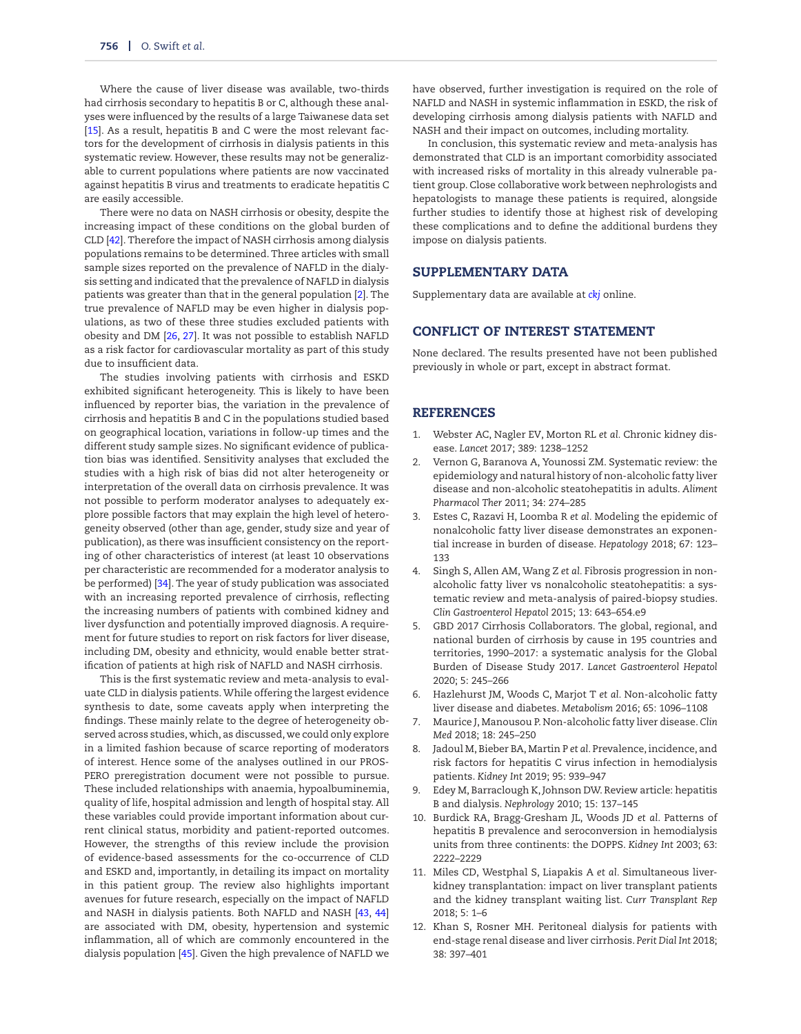Where the cause of liver disease was available, two-thirds had cirrhosis secondary to hepatitis B or C, although these analyses were influenced by the results of a large Taiwanese data set [\[15\]](#page-10-8). As a result, hepatitis B and C were the most relevant factors for the development of cirrhosis in dialysis patients in this systematic review. However, these results may not be generalizable to current populations where patients are now vaccinated against hepatitis B virus and treatments to eradicate hepatitis C are easily accessible.

There were no data on NASH cirrhosis or obesity, despite the increasing impact of these conditions on the global burden of CLD [\[42\]](#page-10-29). Therefore the impact of NASH cirrhosis among dialysis populations remains to be determined. Three articles with small sample sizes reported on the prevalence of NAFLD in the dialysis setting and indicated that the prevalence of NAFLD in dialysis patients was greater than that in the general population [\[2\]](#page-9-1). The true prevalence of NAFLD may be even higher in dialysis populations, as two of these three studies excluded patients with obesity and DM [\[26,](#page-10-15) [27\]](#page-10-18). It was not possible to establish NAFLD as a risk factor for cardiovascular mortality as part of this study due to insufficient data.

The studies involving patients with cirrhosis and ESKD exhibited significant heterogeneity. This is likely to have been influenced by reporter bias, the variation in the prevalence of cirrhosis and hepatitis B and C in the populations studied based on geographical location, variations in follow-up times and the different study sample sizes. No significant evidence of publication bias was identified. Sensitivity analyses that excluded the studies with a high risk of bias did not alter heterogeneity or interpretation of the overall data on cirrhosis prevalence. It was not possible to perform moderator analyses to adequately explore possible factors that may explain the high level of heterogeneity observed (other than age, gender, study size and year of publication), as there was insufficient consistency on the reporting of other characteristics of interest (at least 10 observations per characteristic are recommended for a moderator analysis to be performed) [\[34\]](#page-10-21). The year of study publication was associated with an increasing reported prevalence of cirrhosis, reflecting the increasing numbers of patients with combined kidney and liver dysfunction and potentially improved diagnosis. A requirement for future studies to report on risk factors for liver disease, including DM, obesity and ethnicity, would enable better stratification of patients at high risk of NAFLD and NASH cirrhosis.

This is the first systematic review and meta-analysis to evaluate CLD in dialysis patients.While offering the largest evidence synthesis to date, some caveats apply when interpreting the findings. These mainly relate to the degree of heterogeneity observed across studies, which, as discussed, we could only explore in a limited fashion because of scarce reporting of moderators of interest. Hence some of the analyses outlined in our PROS-PERO preregistration document were not possible to pursue. These included relationships with anaemia, hypoalbuminemia, quality of life, hospital admission and length of hospital stay. All these variables could provide important information about current clinical status, morbidity and patient-reported outcomes. However, the strengths of this review include the provision of evidence-based assessments for the co-occurrence of CLD and ESKD and, importantly, in detailing its impact on mortality in this patient group. The review also highlights important avenues for future research, especially on the impact of NAFLD and NASH in dialysis patients. Both NAFLD and NASH [\[43,](#page-10-30) [44\]](#page-10-31) are associated with DM, obesity, hypertension and systemic inflammation, all of which are commonly encountered in the dialysis population [\[45\]](#page-10-32). Given the high prevalence of NAFLD we

have observed, further investigation is required on the role of NAFLD and NASH in systemic inflammation in ESKD, the risk of developing cirrhosis among dialysis patients with NAFLD and NASH and their impact on outcomes, including mortality.

In conclusion, this systematic review and meta-analysis has demonstrated that CLD is an important comorbidity associated with increased risks of mortality in this already vulnerable patient group. Close collaborative work between nephrologists and hepatologists to manage these patients is required, alongside further studies to identify those at highest risk of developing these complications and to define the additional burdens they impose on dialysis patients.

### **SUPPLEMENTARY DATA**

Supplementary data are available at *[ckj](https://academic.oup.com/ckj/article-lookup/doi/10.1093/ckj/sfab230#rsupplementary-data)* online.

# **CONFLICT OF INTEREST STATEMENT**

None declared. The results presented have not been published previously in whole or part, except in abstract format.

#### **REFERENCES**

- <span id="page-9-0"></span>1. Webster AC, Nagler EV, Morton RL *et al.* Chronic kidney disease. *Lancet* 2017; 389: 1238–1252
- <span id="page-9-1"></span>2. Vernon G, Baranova A, Younossi ZM. Systematic review: the epidemiology and natural history of non-alcoholic fatty liver disease and non-alcoholic steatohepatitis in adults. *Aliment Pharmacol Ther* 2011; 34: 274–285
- <span id="page-9-2"></span>3. Estes C, Razavi H, Loomba R *et al.* Modeling the epidemic of nonalcoholic fatty liver disease demonstrates an exponential increase in burden of disease. *Hepatology* 2018; 67: 123– 133
- <span id="page-9-3"></span>4. Singh S, Allen AM, Wang Z *et al.* Fibrosis progression in nonalcoholic fatty liver vs nonalcoholic steatohepatitis: a systematic review and meta-analysis of paired-biopsy studies. *Clin Gastroenterol Hepatol* 2015; 13: 643–654.e9
- <span id="page-9-4"></span>5. GBD 2017 Cirrhosis Collaborators. The global, regional, and national burden of cirrhosis by cause in 195 countries and territories, 1990–2017: a systematic analysis for the Global Burden of Disease Study 2017. *Lancet Gastroenterol Hepatol* 2020; 5: 245–266
- 6. Hazlehurst JM, Woods C, Marjot T *et al.* Non-alcoholic fatty liver disease and diabetes. *Metabolism* 2016; 65: 1096–1108
- <span id="page-9-5"></span>7. Maurice J, Manousou P. Non-alcoholic fatty liver disease. *Clin Med* 2018; 18: 245–250
- <span id="page-9-6"></span>8. Jadoul M, Bieber BA, Martin P *et al.* Prevalence, incidence, and risk factors for hepatitis C virus infection in hemodialysis patients. *Kidney Int* 2019; 95: 939–947
- 9. Edey M, Barraclough K, Johnson DW. Review article: hepatitis B and dialysis. *Nephrology* 2010; 15: 137–145
- <span id="page-9-7"></span>10. Burdick RA, Bragg-Gresham JL, Woods JD *et al.* Patterns of hepatitis B prevalence and seroconversion in hemodialysis units from three continents: the DOPPS. *Kidney Int* 2003; 63: 2222–2229
- <span id="page-9-8"></span>11. Miles CD, Westphal S, Liapakis A *et al.* Simultaneous liverkidney transplantation: impact on liver transplant patients and the kidney transplant waiting list. *Curr Transplant Rep* 2018; 5: 1–6
- <span id="page-9-9"></span>12. Khan S, Rosner MH. Peritoneal dialysis for patients with end-stage renal disease and liver cirrhosis. *Perit Dial Int* 2018; 38: 397–401